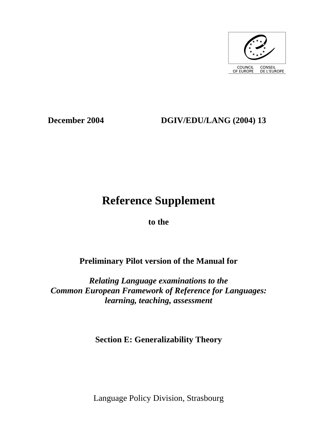

# **December 2004 DGIV/EDU/LANG (2004) 13**

# **Reference Supplement**

**to the** 

# **Preliminary Pilot version of the Manual for**

*Relating Language examinations to the Common European Framework of Reference for Languages: learning, teaching, assessment* 

**Section E: Generalizability Theory** 

Language Policy Division, Strasbourg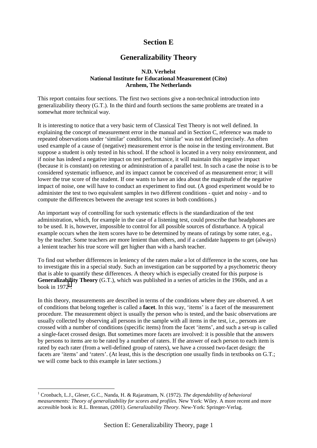# **Section E**

# **Generalizability Theory**

## **N.D. Verhelst National Institute for Educational Measurement (Cito) Arnhem, The Netherlands**

This report contains four sections. The first two sections give a non-technical introduction into generalizability theory (G.T.). In the third and fourth sections the same problems are treated in a somewhat more technical way*.* 

It is interesting to notice that a very basic term of Classical Test Theory is not well defined. In explaining the concept of measurement error in the manual and in Section C, reference was made to repeated observations under 'similar' conditions, but 'similar' was not defined precisely. An often used example of a cause of (negative) measurement error is the noise in the testing environment. But suppose a student is only tested in his school. If the school is located in a very noisy environment, and if noise has indeed a negative impact on test performance, it will maintain this negative impact (because it is constant) on retesting or administration of a parallel test. In such a case the noise is to be considered systematic influence, and its impact cannot be conceived of as measurement error; it will lower the true score of the student. If one wants to have an idea about the magnitude of the negative impact of noise, one will have to conduct an experiment to find out. (A good experiment would be to administer the test to two equivalent samples in two different conditions - quiet and noisy - and to compute the differences between the average test scores in both conditions.)

An important way of controlling for such systematic effects is the standardization of the test administration, which, for example in the case of a listening test, could prescribe that headphones are to be used. It is, however, impossible to control for all possible sources of disturbance. A typical example occurs when the item scores have to be determined by means of ratings by some rater, e.g., by the teacher. Some teachers are more lenient than others, and if a candidate happens to get (always) a lenient teacher his true score will get higher than with a harsh teacher.

To find out whether differences in leniency of the raters make a lot of difference in the scores, one has to investigate this in a special study. Such an investigation can be supported by a psychometric theory that is able to quantify these differences. A theory which is especially created for this purpose is **Generalizability Theory** (G.T.), which was published in a series of articles in the 1960s, and as a book in  $1972<sup>1</sup>$ .

In this theory, measurements are described in terms of the conditions where they are observed. A set of conditions that belong together is called a **facet**. In this way, 'items' is a facet of the measurement procedure. The measurement object is usually the person who is tested, and the basic observations are usually collected by observing all persons in the sample with all items in the test, i.e., persons are crossed with a number of conditions (specific items) from the facet 'items', and such a set-up is called a single-facet crossed design. But sometimes more facets are involved: it is possible that the answers by persons to items are to be rated by a number of raters. If the answer of each person to each item is rated by each rater (from a well-defined group of raters), we have a crossed two-facet design: the facets are 'items' and 'raters'. (At least, this is the description one usually finds in textbooks on G.T.; we will come back to this example in later sections.)

 $\overline{a}$ 

<sup>&</sup>lt;sup>1</sup> Cronbach, L.J., Gleser, G.C., Nanda, H. & Rajaratnam, N. (1972). *The dependability of behavioral measurements: Theory of generalizability for scores and profiles.* New York: Wiley. A more recent and more accessible book is: R.L. Brennan, (2001). *Generalizability Theory*. New-York: Springer-Verlag.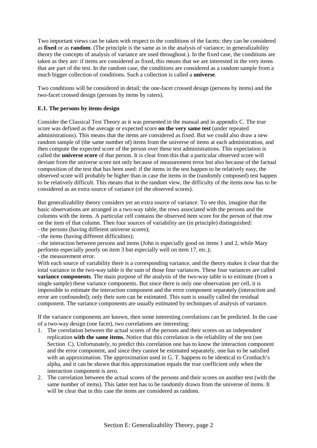Two important views can be taken with respect to the conditions of the facets: they can be considered as **fixed** or as **random**. (The principle is the same as in the analysis of variance; in generalizability theory the concepts of analysis of variance are used throughout.). In the fixed case, the conditions are taken as they are: if items are considered as fixed, this means that we are interested in the very items that are part of the test. In the random case, the conditions are considered as a random sample from a much bigger collection of conditions. Such a collection is called a **universe**.

Two conditions will be considered in detail: the one-facet crossed design (persons by items) and the two-facet crossed design (persons by items by raters).

# **E.1. The persons by items design**

Consider the Classical Test Theory as it was presented in the manual and in appendix C. The true score was defined as the average or expected score **on the very same test** (under repeated administrations). This means that the items are considered as fixed. But we could also draw a new random sample of (the same number of) items from the universe of items at each administration, and then compute the expected score of the person over these test administrations. This expectation is called the **universe score** of that person. It is clear from this that a particular observed score will deviate from the universe score not only because of measurement error but also because of the factual composition of the test that has been used: if the items in the test happen to be relatively easy, the observed score will probably be higher than in case the items in the (randomly composed) test happen to be relatively difficult. This means that in the random view, the difficulty of the items now has to be considered as an extra source of variance (of the observed scores).

But generalizability theory considers yet an extra source of variance. To see this, imagine that the basic observations are arranged in a two-way table, the rows associated with the persons and the columns with the items. A particular cell contains the observed item score for the person of that row on the item of that column. Then four sources of variability are (in principle) distinguished:

- the persons (having different universe scores);

- the items (having different difficulties);

- the interaction between persons and items (John is especially good on items 1 and 2, while Mary performs especially poorly on item 3 but especially well on item 17, etc.);

- the measurement error.

With each source of variability there is a corresponding variance, and the theory makes it clear that the total variance in the two-way table is the sum of those four variances. These four variances are called **variance components**. The main purpose of the analysis of the two-way table is to estimate (from a single sample) these variance components. But since there is only one observation per cell, it is impossible to estimate the interaction component and the error component separately (interaction and error are confounded); only their sum can be estimated. This sum is usually called the residual component. The variance components are usually estimated by techniques of analysis of variance.

If the variance components are known, then some interesting correlations can be predicted. In the case of a two-way design (one facet), two correlations are interesting:

- 1. The correlation between the actual scores of the persons and their scores on an independent replication **with the same items.** Notice that this correlation is the reliability of the test (see Section C). Unfortunately, to predict this correlation one has to know the interaction component and the error component, and since they cannot be estimated separately, one has to be satisfied with an approximation. The approximation used in G. T. happens to be identical to Cronbach's alpha, and it can be shown that this approximation equals the true coefficient only when the interaction component is zero.
- 2. The correlation between the actual scores of the persons and their scores on another test (with the same number of items). This latter test has to be randomly drawn from the universe of items. It will be clear that in this case the items are considered as random.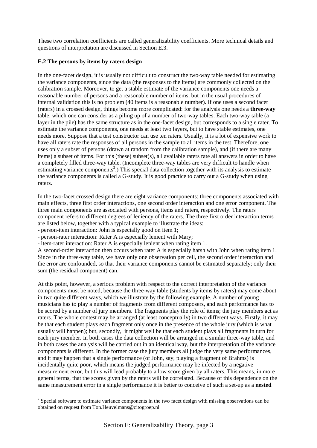These two correlation coefficients are called generalizability coefficients. More technical details and questions of interpretation are discussed in Section E.3.

# **E.2 The persons by items by raters design**

In the one-facet design, it is usually not difficult to construct the two-way table needed for estimating the variance components, since the data (the responses to the items) are commonly collected on the calibration sample. Moreover, to get a stable estimate of the variance components one needs a reasonable number of persons and a reasonable number of items, but in the usual procedures of internal validation this is no problem (40 items is a reasonable number). If one uses a second facet (raters) in a crossed design, things become more complicated: for the analysis one needs a **three-way** table, which one can consider as a piling up of a number of two-way tables. Each two-way table (a layer in the pile) has the same structure as in the one-facet design, but corresponds to a single rater. To estimate the variance components, one needs at least two layers, but to have stable estimates, one needs more. Suppose that a test constructor can use ten raters. Usually, it is a lot of expensive work to have all raters rate the responses of all persons in the sample to all items in the test. Therefore, one uses only a subset of persons (drawn at random from the calibration sample), and (if there are many items) a subset of items. For this (these) subset(s), all available raters rate all answers in order to have a completely filled three-way table. (Incomplete three-way tables are very difficult to handle when estimating variance components<sup>2</sup>.) This special data collection together with its analysis to estimate the variance components is called a G-study. It is good practice to carry out a G-study when using raters.

In the two-facet crossed design there are eight variance components: three components associated with main effects, three first order interactions, one second order interaction and one error component. The three main components are associated with persons, items and raters, respectively. The raters component refers to different degrees of leniency of the raters. The three first order interaction terms are listed below, together with a typical example to illustrate the ideas:

- person-item interaction: John is especially good on item 1;

 $\overline{a}$ 

- person-rater interaction: Rater A is especially lenient with Mary;
- item-rater interaction: Rater A is especially lenient when rating item 1.

A second-order interaction then occurs when rater A is especially harsh with John when rating item 1. Since in the three-way table, we have only one observation per cell, the second order interaction and the error are confounded, so that their variance components cannot be estimated separately; only their sum (the residual component) can.

At this point, however, a serious problem with respect to the correct interpretation of the variance components must be noted, because the three-way table (students by items by raters) may come about in two quite different ways, which we illustrate by the following example. A number of young musicians has to play a number of fragments from different composers, and each performance has to be scored by a number of jury members. The fragments play the role of items; the jury members act as raters. The whole contest may be arranged (at least conceptually) in two different ways. Firstly, it may be that each student plays each fragment only once in the presence of the whole jury (which is what usually will happen); but, secondly, it might well be that each student plays all fragments in turn for each jury member. In both cases the data collection will be arranged in a similar three-way table, and in both cases the analysis will be carried out in an identical way, but the interpretation of the variance components is different. In the former case the jury members all judge the very same performances, and it may happen that a single performance (of John, say, playing a fragment of Brahms) is incidentally quite poor, which means the judged performance may be infected by a negative measurement error, but this will lead probably to a low score given by all raters. This means, in more general terms, that the scores given by the raters will be correlated. Because of this dependence on the same measurement error in a single performance it is better to conceive of such a set-up as a **nested** 

 $2^{2}$  Special software to estimate variance components in the two facet design with missing observations can be obtained on request from Ton.Heuvelmans@citogroep.nl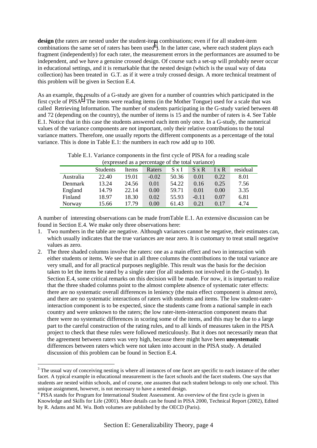**design (**the raters are nested under the student-item combinations; even if for all student-item combinations the same set of raters has been used<sup>3</sup>). In the latter case, where each student plays each fragment (independently) for each rater, the measurement errors in the performances are assumed to be independent, and we have a genuine crossed design. Of course such a set-up will probably never occur in educational settings, and it is remarkable that the nested design (which is the usual way of data collection) has been treated in G.T. as if it were a truly crossed design. A more technical treatment of this problem will be given in Section E.4.

As an example, the results of a G-study are given for a number of countries which participated in the first cycle of  $PISA<sup>4</sup>$ . The items were reading items (in the Mother Tongue) used for a scale that was called Retrieving Information. The number of students participating in the G-study varied between 48 and 72 (depending on the country), the number of items is 15 and the number of raters is 4. See Table E.1. Notice that in this case the students answered each item only once. In a G-study, the numerical values of the variance components are not important, only their relative contributions to the total variance matters. Therefore, one usually reports the different components as a percentage of the total variance. This is done in Table E.1: the numbers in each row add up to 100.

Table E.1. Variance components in the first cycle of PISA for a reading scale  $\overrightarrow{f}$  (expressed as a percentage of the total variance)

| $P^{\text{max}}$ |                 |       |         |       |              |              |          |
|------------------|-----------------|-------|---------|-------|--------------|--------------|----------|
|                  | <b>Students</b> | Items | Raters  | S x I | $S \times R$ | $I \times R$ | residual |
| Australia        | 22.40           | 19.01 | $-0.02$ | 50.36 | 0.01         | 0.22         | 8.01     |
| Denmark          | 13.24           | 24.56 | 0.01    | 54.22 | 0.16         | 0.25         | 7.56     |
| England          | 14.79           | 22.14 | 0.00    | 59.71 | 0.01         | 0.00         | 3.35     |
| Finland          | 18.97           | 18.30 | 0.02    | 55.93 | $-0.11$      | 0.07         | 6.81     |
| Norway           | 15.66           | 17.79 | 0.00    | 61.43 | 0.21         | 0.17         | 4.74     |

A number of interesting observations can be made fromTable E.1. An extensive discussion can be found in Section E.4. We make only three observations here:

- 1. Two numbers in the table are negative. Although variances cannot be negative, their estimates can, which usually indicates that the true variances are near zero. It is customary to treat small negative values as zero.
- 2. The three shaded columns involve the raters: one as a main effect and two in interaction with either students or items. We see that in all three columns the contributions to the total variance are very small, and for all practical purposes negligible. This result was the basis for the decision taken to let the items be rated by a single rater (for all students not involved in the G-study). In Section E.4, some critical remarks on this decision will be made. For now, it is important to realize that the three shaded columns point to the almost complete absence of systematic rater effects: there are no systematic overall differences in leniency (the main effect component is almost zero), and there are no systematic interactions of raters with students and items. The low student-raterinteraction component is to be expected, since the students came from a national sample in each country and were unknown to the raters; the low rater-item-interaction component means that there were no systematic differences in scoring some of the items, and this may be due to a large part to the careful construction of the rating rules, and to all kinds of measures taken in the PISA project to check that these rules were followed meticulously. But it does not necessarily mean that the agreement between raters was very high, because there might have been **unsystematic** differences between raters which were not taken into account in the PISA study. A detailed discussion of this problem can be found in Section E.4.

 $\overline{a}$ 

 $3$  The usual way of conceiving nesting is where all instances of one facet are specific to each instance of the other facet. A typical example in educational measurement is the facet schools and the facet students. One says that students are nested within schools, and of course, one assumes that each student belongs to only one school. This unique assignment, however, is not necessary to have a nested design.

<sup>&</sup>lt;sup>4</sup> PISA stands for Program for International Student Assessment. An overview of the first cycle is given in Knowledge and Skills for Life (2001). More details can be found in PISA 2000, Technical Report (2002), Edited by R. Adams and M. Wu. Both volumes are published by the OECD (Paris).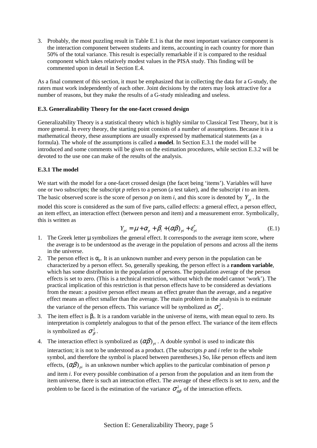3. Probably, the most puzzling result in Table E.1 is that the most important variance component is the interaction component between students and items, accounting in each country for more than 50% of the total variance. This result is especially remarkable if it is compared to the residual component which takes relatively modest values in the PISA study. This finding will be commented upon in detail in Section E.4.

As a final comment of this section, it must be emphasized that in collecting the data for a G-study, the raters must work independently of each other. Joint decisions by the raters may look attractive for a number of reasons, but they make the results of a G-study misleading and useless.

## **E.3. Generalizability Theory for the one-facet crossed design**

Generalizability Theory is a statistical theory which is highly similar to Classical Test Theory, but it is more general. In every theory, the starting point consists of a number of assumptions. Because it is a mathematical theory, these assumptions are usually expressed by mathematical statements (as a formula). The whole of the assumptions is called a **model**. In Section E.3.1 the model will be introduced and some comments will be given on the estimation procedures, while section E.3.2 will be devoted to the use one can make of the results of the analysis.

# **E.3.1 The model**

We start with the model for a one-facet crossed design (the facet being 'items'). Variables will have one or two subscripts; the subscript *p* refers to a person (a test taker), and the subscript *i* to an item. The basic observed score is the score of person *p* on item *i*, and this score is denoted by  $Y_{pi}$ . In the

model this score is considered as the sum of five parts, called effects: a general effect, a person effect, an item effect, an interaction effect (between person and item) and a measurement error. Symbolically, this is written as  $Y_{pi} = \mu + \alpha_p + \beta_i + (\alpha \beta)_{pi} + \varepsilon_{pi}^*$  (E.1)

$$
Y_{pi} = \mu + \alpha_p + \beta_i + (\alpha \beta)_{pi} + \varepsilon_{pi}^*
$$
\n(E.1)

- 1. The Greek letter  $\mu$  symbolizes the general effect. It corresponds to the average item score, where the average is to be understood as the average in the population of persons and across all the items in the universe.
- 2. The person effect is  $\alpha_p$ . It is an unknown number and every person in the population can be characterized by a person effect. So, generally speaking, the person effect is a **random variable**, which has some distribution in the population of persons. The population average of the person effects is set to zero. (This is a technical restriction, without which the model cannot 'work'). The practical implication of this restriction is that person effects have to be considered as deviations from the mean: a positive person effect means an effect greater than the average, and a negative effect means an effect smaller than the average. The main problem in the analysis is to estimate the variance of the person effects. This variance will be symbolized as  $\sigma_{\alpha}^2$ .
- 3. The item effect is β*i*. It is a random variable in the universe of items, with mean equal to zero. Its interpretation is completely analogous to that of the person effect. The variance of the item effects is symbolized as  $\sigma^2$ .
- 4. The interaction effect is symbolized as  $(\alpha \beta)$ <sub>*ni*</sub>. A double symbol is used to indicate this interaction; it is not to be understood as a product. (The subscripts *p* and *i* refer to the whole symbol, and therefore the symbol is placed between parentheses.) So, like person effects and item effects,  $(\alpha\beta)_{\eta i}$  is an unknown number which applies to the particular combination of person *p* and item *i*. For every possible combination of a person from the population and an item from the item universe, there is such an interaction effect. The average of these effects is set to zero, and the problem to be faced is the estimation of the variance  $\sigma_{\alpha\beta}^2$  of the interaction effects.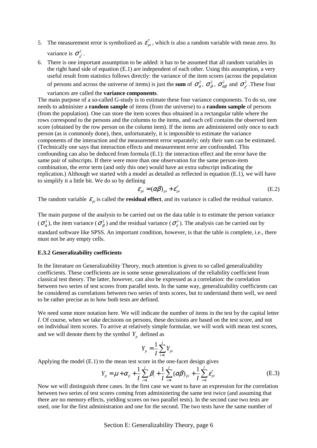- 5. The measurement error is symbolized as  $\mathcal{E}_{pi}^{*}$ , which is also a random variable with mean zero. Its variance is  $\sigma_{\varepsilon}^2$ .
- 6. There is one important assumption to be added: it has to be assumed that all random variables in the right hand side of equation (E.1) are independent of each other. Using this assumption, a very useful result from statistics follows directly: the variance of the item scores (across the population of persons and across the universe of items) is just the **sum** of  $\sigma_{\alpha}^2$ ,  $\sigma_{\beta}^2$ ,  $\sigma_{\alpha\beta}^2$  and  $\sigma_{\epsilon}^2$ . These four

variances are called the **variance components**.

The main purpose of a so-called G-study is to estimate these four variance components. To do so, one needs to administer a **random sample** of items (from the universe) to a **random sample** of persons (from the population). One can store the item scores thus obtained in a rectangular table where the rows correspond to the persons and the columns to the items, and each cell contains the observed item score (obtained by the row person on the column item). If the items are administered only once to each person (as is commonly done), then, unfortunately, it is impossible to estimate the variance components of the interaction and the measurement error separately; only their sum can be estimated. (Technically one says that interaction effects and measurement error are confounded. This confounding can also be deduced from formula (E.1): the interaction effect and the error have the same pair of subscripts. If there were more than one observation for the same person-item combination, the error term (and only this one) would have an extra subscript indicating the replication.) Although we started with a model as detailed as reflected in equation (E.1), we will have to simplify it a little bit. We do so by defining

$$
\varepsilon_{pi} = (\alpha \beta)_{pi} + \varepsilon_{pi}^* \tag{E.2}
$$

The random variable  $\varepsilon_{pi}$  is called the **residual effect**, and its variance is called the residual variance.

The main purpose of the analysis to be carried out on the data table is to estimate the person variance  $(\sigma_{\alpha}^2)$ , the item variance  $(\sigma_{\beta}^2)$  and the residual variance  $(\sigma_{\epsilon}^2)$ . The analysis can be carried out by standard software like SPSS. An important condition, however, is that the table is complete, i.e., there must not be any empty cells.

#### **E.3.2 Generalizability coefficients**

In the literature on Generalizability Theory, much attention is given to so called generalizability coefficients. These coefficients are in some sense generalizations of the reliability coefficient from classical test theory. The latter, however, can also be expressed as a correlation: the correlation between two series of test scores from parallel tests. In the same way, generalizability coefficients can be considered as correlations between two series of tests scores, but to understand them well, we need to be rather precise as to how both tests are defined.

We need some more notation here. We will indicate the number of items in the test by the capital letter *I*. Of course, when we take decisions on persons, these decisions are based on the test score, and not on individual item scores. To arrive at relatively simple formulae, we will work with mean test scores, and we will denote them by the symbol  $Y_p$  defined as

$$
Y_p = \frac{1}{I} \sum_{i=1}^{I} Y_{pi}
$$

Applying the model (E.1) to the mean test score in the one-facet design gives

$$
Y_p = \mu + \alpha_p + \frac{1}{I} \sum_{i=1}^{I} \beta_i + \frac{1}{I} \sum_{i=1}^{I} (\alpha \beta)_{pi} + \frac{1}{I} \sum_{i=1}^{I} \varepsilon_{pi}^* \tag{E.3}
$$

Now we will distinguish three cases. In the first case we want to have an expression for the correlation between two series of test scores coming from administering the same test twice (and assuming that there are no memory effects, yielding scores on two parallel tests). In the second case two tests are used, one for the first administration and one for the second. The two tests have the same number of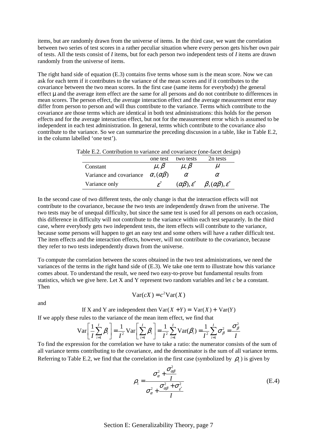items, but are randomly drawn from the universe of items. In the third case, we want the correlation between two series of test scores in a rather peculiar situation where every person gets his/her own pair of tests. All the tests consist of *I* items, but for each person two independent tests of *I* items are drawn randomly from the universe of items.

The right hand side of equation (E.3) contains five terms whose sum is the mean score. Now we can ask for each term if it contributes to the variance of the mean scores and if it contributes to the covariance between the two mean scores. In the first case (same items for everybody) the general effect µ and the average item effect are the same for all persons and do not contribute to differences in mean scores. The person effect, the average interaction effect and the average measurement error may differ from person to person and will thus contribute to the variance. Terms which contribute to the covariance are those terms which are identical in both test administrations: this holds for the person effects and for the average interaction effect, but not for the measurement error which is assumed to be independent in each test administration. In general, terms which contribute to the covariance also contribute to the variance. So we can summarize the preceding discussion in a table, like in Table E.2, in the column labelled 'one test').

| Table E.2. Contribution to variance and covariance (one-facet design) |  |  |
|-----------------------------------------------------------------------|--|--|
|                                                                       |  |  |

|                                                    | one test     | two tests                      | 2n tests                              |
|----------------------------------------------------|--------------|--------------------------------|---------------------------------------|
| Constant                                           | $\mu, \beta$ | $\mu, \beta$                   | $\mu$                                 |
| Variance and covariance $\alpha$ , $(\alpha\beta)$ |              | $\alpha$                       | α                                     |
| Variance only                                      |              | $(\alpha\beta), \varepsilon^*$ | $\beta, (\alpha\beta), \varepsilon^*$ |

In the second case of two different tests, the only change is that the interaction effects will not contribute to the covariance, because the two tests are independently drawn from the universe. The two tests may be of unequal difficulty, but since the same test is used for all persons on each occasion, this difference in difficulty will not contribute to the variance within each test separately. In the third case, where everybody gets two independent tests, the item effects will contribute to the variance, because some persons will happen to get an easy test and some others will have a rather difficult test. The item effects and the interaction effects, however, will not contribute to the covariance, because they refer to two tests independently drawn from the universe.

To compute the correlation between the scores obtained in the two test administrations, we need the variances of the terms in the right hand side of (E.3). We take one term to illustrate how this variance comes about. To understand the result, we need two easy-to-prove but fundamental results from statistics, which we give here. Let X and Y represent two random variables and let *c* be a constant. Then

and

 $Var(cX) = c^2 Var(X)$ 

If X and Y are independent then  $Var(X + Y) = Var(X) + Var(Y)$ 

If we apply these rules to the variance of the mean item effect, we find that

$$
\text{Var}\left[\frac{1}{I}\sum_{i=1}^{I}\beta_{i}\right] = \frac{1}{I^{2}}\text{Var}\left[\sum_{i=1}^{I}\beta_{i}\right] = \frac{1}{I^{2}}\sum_{i=1}^{I}\text{Var}(\beta_{i}) = \frac{1}{I^{2}}\sum_{i=1}^{I}\sigma_{\beta}^{2} = \frac{\sigma_{\beta}^{2}}{I}
$$

To find the expression for the correlation we have to take a ratio: the numerator consists of the sum of all variance terms contributing to the covariance, and the denominator is the sum of all variance terms. Referring to Table E.2, we find that the correlation in the first case (symbolized by  $\rho$ ) is given by

$$
\rho_1 = \frac{\sigma_{\alpha}^2 + \frac{\sigma_{\alpha\beta}^2}{I}}{\sigma_{\alpha}^2 + \frac{\sigma_{\alpha\beta}^2 + \sigma_{\varepsilon^*}^2}{I}}
$$
(E.4)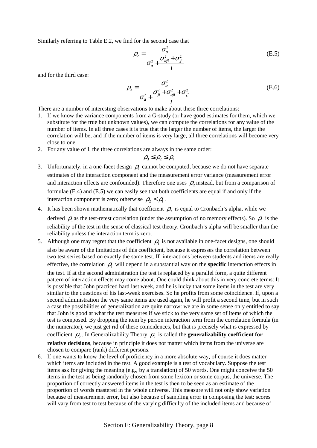Similarly referring to Table E.2, we find for the second case that

$$
\rho_2 = \frac{\sigma_\alpha^2}{\sigma_\alpha^2 + \frac{\sigma_{\alpha\beta}^2 + \sigma_{\varepsilon^*}^2}{I}}
$$
(E.5)

and for the third case:

$$
\rho_3 = \frac{\sigma_\alpha^2}{\sigma_\alpha^2 + \frac{\sigma_\beta^2 + \sigma_{\alpha\beta}^2 + \sigma_{\varepsilon}^2}{I}}
$$
(E.6)

There are a number of interesting observations to make about these three correlations:

- 1. If we know the variance components from a G-study (or have good estimates for them, which we substitute for the true but unknown values), we can compute the correlations for any value of the number of items. In all three cases it is true that the larger the number of items, the larger the correlation will be, and if the number of items is very large, all three correlations will become very close to one.
- 2. For any value of I, the three correlations are always in the same order:

$$
\rho_{3} \leq \rho_{2} \leq \rho_{1}
$$

- 3. Unfortunately, in a one-facet design  $\rho_1$  cannot be computed, because we do not have separate estimates of the interaction component and the measurement error variance (measurement error and interaction effects are confounded). Therefore one uses  $\rho_2$  instead, but from a comparison of formulae (E.4) and (E.5) we can easily see that both coefficients are equal if and only if the interaction component is zero; otherwise  $\rho_2 < \rho_1$ .
- 4. It has been shown mathematically that coefficient  $\rho_2$  is equal to Cronbach's alpha, while we derived  $\rho_1$  as the test-retest correlation (under the assumption of no memory effects). So  $\rho_1$  is the reliability of the test in the sense of classical test theory. Cronbach's alpha will be smaller than the reliability unless the interaction term is zero.
- 5. Although one may regret that the coefficient  $\rho_1$  is not available in one-facet designs, one should also be aware of the limitations of this coefficient, because it expresses the correlation between two test series based on exactly the same test. If interactions between students and items are really effective, the correlation  $\rho_1$  will depend in a substantial way on the **specific** interaction effects in the test. If at the second administration the test is replaced by a parallel form, a quite different pattern of interaction effects may come about. One could think about this in very concrete terms: It is possible that John practiced hard last week, and he is lucky that some items in the test are very similar to the questions of his last-week exercises. So he profits from some coincidence. If, upon a second administration the very same items are used again, he will profit a second time, but in such a case the possibilities of generalization are quite narrow: we are in some sense only entitled to say that John is good at what the test measures if we stick to the very same set of items of which the test is composed. By dropping the item by person interaction term from the correlation formula (in the numerator), we just get rid of these coincidences, but that is precisely what is expressed by coefficient  $\rho_2$ . In Generalizability Theory  $\rho_2$  is called the **generalizability coefficient for**

**relative decisions**, because in principle it does not matter which items from the universe are chosen to compare (rank) different persons.

6. If one wants to know the level of proficiency in a more absolute way, of course it does matter which items are included in the test. A good example is a test of vocabulary. Suppose the test items ask for giving the meaning (e.g., by a translation) of 50 words. One might conceive the 50 items in the test as being randomly chosen from some lexicon or some corpus, the universe. The proportion of correctly answered items in the test is then to be seen as an estimate of the proportion of words mastered in the whole universe. This measure will not only show variation because of measurement error, but also because of sampling error in composing the test: scores will vary from test to test because of the varying difficulty of the included items and because of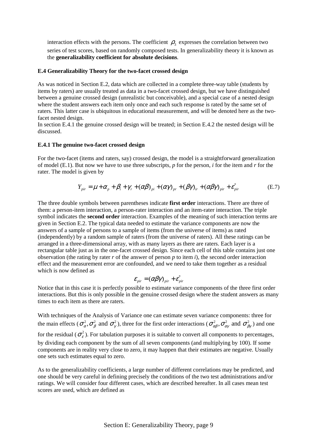interaction effects with the persons. The coefficient  $\rho_3$  expresses the correlation between two series of test scores, based on randomly composed tests. In generalizability theory it is known as the **generalizability coefficient for absolute decisions**.

#### **E.4 Generalizability Theory for the two-facet crossed design**

As was noticed in Section E.2, data which are collected in a complete three-way table (students by items by raters) are usually treated as data in a two-facet crossed design, but we have distinguished between a genuine crossed design (unrealistic but conceivable), and a special case of a nested design where the student answers each item only once and each such response is rated by the same set of raters. This latter case is ubiquitous in educational measurement, and will be denoted here as the twofacet nested design.

In section E.4.1 the genuine crossed design will be treated; in Section E.4.2 the nested design will be discussed.

#### **E.4.1 The genuine two-facet crossed design**

For the two-facet (items and raters, say) crossed design, the model is a straightforward generalization of model (E.1). But now we have to use three subscripts, *p* for the person, *i* for the item and *r* for the rater. The model is given by

$$
Y_{\text{pir}} = \mu + \alpha_p + \beta_i + \gamma_r + (\alpha \beta)_{\text{pi}} + (\alpha \gamma)_{\text{pr}} + (\beta \gamma)_{\text{ir}} + (\alpha \beta \gamma)_{\text{pir}} + \varepsilon_{\text{pir}}^* \tag{E.7}
$$

The three double symbols between parentheses indicate **first order** interactions. There are three of them: a person-item interaction, a person-rater interaction and an item-rater interaction. The triple symbol indicates the **second order** interaction. Examples of the meaning of such interaction terms are given in Section E.2. The typical data needed to estimate the variance components are now the answers of a sample of persons to a sample of items (from the universe of items) as rated (independently) by a random sample of raters (from the universe of raters). All these ratings can be arranged in a three-dimensional array, with as many layers as there are raters. Each layer is a rectangular table just as in the one-facet crossed design. Since each cell of this table contains just one observation (the rating by rater *r* of the answer of person *p* to item *i*), the second order interaction effect and the measurement error are confounded, and we need to take them together as a residual which is now defined as

$$
\varepsilon_{_{pir}} = (\alpha \beta \gamma)_{_{pir}} + \varepsilon_{_{pir}}^*
$$

Notice that in this case it is perfectly possible to estimate variance components of the three first order interactions. But this is only possible in the genuine crossed design where the student answers as many times to each item as there are raters.

With techniques of the Analysis of Variance one can estimate seven variance components: three for the main effects ( $\sigma_{\alpha}^2$ ,  $\sigma_{\beta}^2$  and  $\sigma_{\gamma}^2$ ), three for the first order interactions ( $\sigma_{\alpha\beta}^2$ ,  $\sigma_{\alpha\gamma}^2$  and  $\sigma_{\beta\gamma}^2$ ) and one for the residual ( $\sigma_{\rm c}^2$ ). For tabulation purposes it is suitable to convert all components to percentages, by dividing each component by the sum of all seven components (and multiplying by 100). If some components are in reality very close to zero, it may happen that their estimates are negative. Usually one sets such estimates equal to zero.

As to the generalizability coefficients, a large number of different correlations may be predicted, and one should be very careful in defining precisely the conditions of the two test administrations and/or ratings. We will consider four different cases, which are described hereafter. In all cases mean test scores are used, which are defined as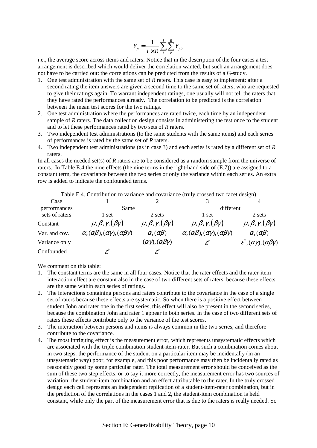$$
Y_p = \frac{1}{I \times R} \sum_{i}^{I} \sum_{r}^{R} Y_{pir}
$$

i.e., the average score across items and raters. Notice that in the description of the four cases a test arrangement is described which would deliver the correlation wanted, but such an arrangement does not have to be carried out: the correlations can be predicted from the results of a G-study.

- 1. One test administration with the same set of *R* raters. This case is easy to implement: after a second rating the item answers are given a second time to the same set of raters, who are requested to give their ratings again. To warrant independent ratings, one usually will not tell the raters that they have rated the performances already. The correlation to be predicted is the correlation between the mean test scores for the two ratings.
- 2. One test administration where the performances are rated twice, each time by an independent sample of *R* raters. The data collection design consists in administering the test once to the student and to let these performances rated by two sets of *R* raters.
- 3. Two independent test administrations (to the same students with the same items) and each series of performances is rated by the same set of *R* raters.
- 4. Two independent test administrations (as in case 3) and each series is rated by a different set of *R* raters.

In all cases the needed set(s) of *R* raters are to be considered as a random sample from the universe of raters. In Table E.4 the nine effects (the nine terms in the right-hand side of (E.7)) are assigned to a constant term, the covariance between the two series or only the variance within each series. An extra row is added to indicate the confounded terms.

|                | Table E.4. Contribution to variance and covariance (truly crossed two facet design) |                                             |                                                              |                                                   |  |  |  |
|----------------|-------------------------------------------------------------------------------------|---------------------------------------------|--------------------------------------------------------------|---------------------------------------------------|--|--|--|
| Case           |                                                                                     |                                             |                                                              |                                                   |  |  |  |
| performances   | Same                                                                                |                                             | different                                                    |                                                   |  |  |  |
| sets of raters | l set                                                                               | 2 sets                                      | 1 set                                                        | 2 sets                                            |  |  |  |
| Constant       | $\mu, \beta, \gamma, (\beta \gamma)$                                                | $\mu, \beta, \gamma, (\beta \gamma)$        | $\mu, \beta, \gamma, (\beta \gamma)$                         | $\mu, \beta, \gamma, (\beta \gamma)$              |  |  |  |
| Var. and cov.  | $\alpha, (\alpha\beta), (\alpha\gamma), (\alpha\beta\gamma)$                        | $\alpha, (\alpha\beta)$                     | $\alpha, (\alpha\beta), (\alpha\gamma), (\alpha\beta\gamma)$ | $\alpha, (\alpha\beta)$                           |  |  |  |
| Variance only  |                                                                                     | $(\alpha \gamma)$ , $(\alpha \beta \gamma)$ | $\varepsilon^{*}$                                            | $\varepsilon^*(\alpha\gamma),(\alpha\beta\gamma)$ |  |  |  |
| Confounded     | $\mathcal E$                                                                        | $\varepsilon^{^*}$                          |                                                              |                                                   |  |  |  |

Table E.4. Contribution to variance and covariance (truly crossed two facet design)

We comment on this table:

- 1. The constant terms are the same in all four cases. Notice that the rater effects and the rater-item interaction effect are constant also in the case of two different sets of raters, because these effects are the same within each series of ratings.
- 2. The interactions containing persons and raters contribute to the covariance in the case of a single set of raters because these effects are systematic. So when there is a positive effect between student John and rater one in the first series, this effect will also be present in the second series, because the combination John and rater 1 appear in both series. In the case of two different sets of raters these effects contribute only to the variance of the test scores.
- 3. The interaction between persons and items is always common in the two series, and therefore contribute to the covariance.
- 4. The most intriguing effect is the measurement error, which represents unsystematic effects which are associated with the triple combination student-item-rater. But such a combination comes about in two steps: the performance of the student on a particular item may be incidentally (in an unsystematic way) poor, for example, and this poor performance may then be incidentally rated as reasonably good by some particular rater. The total measurement error should be conceived as the sum of these two step effects, or to say it more correctly, the measurement error has two sources of variation: the student-item combination and an effect attributable to the rater. In the truly crossed design each cell represents an independent replication of a student-item-rater combination, but in the prediction of the correlations in the cases  $\hat{1}$  and 2, the student-item combination is held constant, while only the part of the measurement error that is due to the raters is really needed. So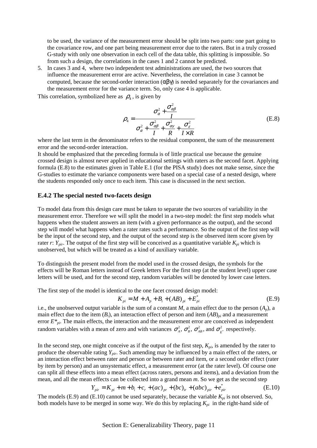to be used, the variance of the measurement error should be split into two parts: one part going to the covariance row, and one part being measurement error due to the raters. But in a truly crossed G-study with only one observation in each cell of the data table, this splitting is impossible. So from such a design, the correlations in the cases 1 and 2 cannot be predicted.

5. In cases 3 and 4, where two independent test administrations are used, the two sources that influence the measurement error are active. Nevertheless, the correlation in case 3 cannot be computed, because the second-order interaction  $(αβγ)$  is needed separately for the covariances and the measurement error for the variance term. So, only case 4 is applicable.

This correlation, symbolized here as  $\rho_4$ , is given by

$$
\rho_4 = \frac{\sigma_\alpha^2 + \frac{\sigma_{\alpha\beta}^2}{I}}{\sigma_\alpha^2 + \frac{\sigma_{\alpha\beta}^2}{I} + \frac{\sigma_{\alpha\gamma}^2}{R} + \frac{\sigma_\varepsilon^2}{I \times R}}
$$
(E.8)

where the last term in the denominator refers to the residual component, the sum of the measurement error and the second-order interaction.

It should be emphasized that the preceding formula is of little practical use because the genuine crossed design is almost never applied in educational settings with raters as the second facet. Applying formula (E.8) to the estimates given in Table E.1 (for the PISA study) does not make sense, since the G-studies to estimate the variance components were based on a special case of a nested design, where the students responded only once to each item. This case is discussed in the next section.

## **E.4.2 The special nested two-facets design**

To model data from this design care must be taken to separate the two sources of variability in the measurement error. Therefore we will split the model in a two-step model: the first step models what happens when the student answers an item (with a given performance as the output), and the second step will model what happens when a rater rates such a performance. So the output of the first step will be the input of the second step, and the output of the second step is the observed item score given by rater *r*:  $\overline{Y}_{\text{mir}}$ . The output of the first step will be conceived as a quantitative variable  $K_{pi}$  which is unobserved, but which will be treated as a kind of auxiliary variable.

To distinguish the present model from the model used in the crossed design, the symbols for the effects will be Roman letters instead of Greek letters For the first step (at the student level) upper case letters will be used, and for the second step, random variables will be denoted by lower case letters.

The first step of the model is identical to the one facet crossed design model:

$$
K_{pi} = M + A_p + B_i + (AB)_{pi} + E_{pi}^*
$$
\n(E.9)

i.e., the unobserved output variable is the sum of a constant *M*, a main effect due to the person  $(A_p)$ , a main effect due to the item  $(B_i)$ , an interaction effect of person and item  $(AB)_{pi}$  and a measurement error  $E^*_{pi}$ . The main effects, the interaction and the measurement error are conceived as independent random variables with a mean of zero and with variances  $\sigma_A^2$ ,  $\sigma_B^2$ ,  $\sigma_{AB}^2$ , and  $\sigma_{E^*}^2$  respectively.

In the second step, one might conceive as if the output of the first step,  $K_{pi}$ , is amended by the rater to produce the observable rating *Ypir*. Such amending may be influenced by a main effect of the raters, or an interaction effect between rater and person or between rater and item, or a second order effect (rater by item by person) and an unsystematic effect, a measurement error (at the rater level). Of course one can split all these effects into a mean effect (across raters, persons and items), and a deviation from the mean, and all the mean effects can be collected into a grand mean *m*. So we get as the second step

$$
Y_{\text{pir}} = K_{\text{pi}} + m + b_i + c_r + (ac)_{\text{pr}} + (bc)_{\text{ir}} + (abc)_{\text{pir}} + e_{\text{pir}} \tag{E.10}
$$

The models (E.9) and (E.10) cannot be used separately, because the variable  $K_{pi}$  is not observed. So, both models have to be merged in some way. We do this by replacing  $K_{pi}$  in the right-hand side of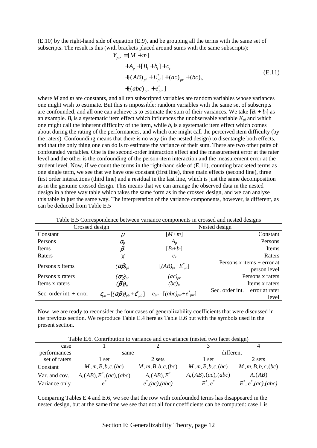(E.10) by the right-hand side of equation (E.9), and be grouping all the terms with the same set of subscripts. The result is this (with brackets placed around sums with the same subscripts):

$$
Y_{pir} = [M + m]
$$
  
+ $A_p + [B_i + b_i] + c_r$   
+ $[(AB)_{pi} + E_{pi}^*] + (ac)_{pr} + (bc)_{ir}$   
+ $[(abc)_{pir} + e_{pir}^*]$  (E.11)

where *M* and *m* are constants, and all ten subscripted variables are random variables whose variances one might wish to estimate. But this is impossible: random variables with the same set of subscripts are confounded, and all one can achieve is to estimate the sum of their variances. We take  $[B_i + b_i]$  as an example.  $B_i$  is a systematic item effect which influences the unobservable variable  $K_{pi}$  and which one might call the inherent difficulty of the item, while  $b_i$  is a systematic item effect which comes about during the rating of the performances, and which one might call the perceived item difficulty (by the raters). Confounding means that there is no way (in the nested design) to disentangle both effects, and that the only thing one can do is to estimate the variance of their sum. There are two other pairs of confounded variables. One is the second-order interaction effect and the measurement error at the rater level and the other is the confounding of the person-item interaction and the measurement error at the student level. Now, if we count the terms in the right-hand side of (E.11), counting bracketed terms as one single term, we see that we have one constant (first line), three main effects (second line), three first order interactions (third line) and a residual in the last line, which is just the same decomposition as in the genuine crossed design. This means that we can arrange the observed data in the nested design in a three way table which takes the same form as in the crossed design, and we can analyse this table in just the same way. The interpretation of the variance components, however, is different, as can be deduced from Table E.5

| Crossed design            |                                                                           |                                                        | Nested design                                |
|---------------------------|---------------------------------------------------------------------------|--------------------------------------------------------|----------------------------------------------|
| Constant                  | $\mu$                                                                     | $[M+m]$                                                | Constant                                     |
| Persons                   | $\alpha_{\!p}$                                                            | $A_p$                                                  | Persons                                      |
| Items                     | $\beta_i$                                                                 | $[B_i+b_i]$                                            | Items                                        |
| Raters                    | $\gamma_{r}$                                                              | $c_r$                                                  | Raters                                       |
| Persons x items           | $(\alpha\beta)_{pi}$                                                      | $[(AB)_{pi}+E^*_{pi}]$                                 | Persons $x$ items + error at<br>person level |
| Persons x raters          | ( $\pmb{\alpha}\pmb{\gamma}_{pr}$                                         | $(ac)_{pr}$                                            | Persons x raters                             |
| Items x raters            | $(\beta \gamma)_{ir}$                                                     | $(bc)_{ir}$                                            | Items x raters                               |
| Sec. order int. $+$ error | $\mathcal{E}_{pir} = [(\alpha \beta \gamma)_{pir} + \mathcal{E}_{pir}^*]$ | $e_{\text{pir}}=[(abc)_{\text{pir}}+e^*_{\text{pir}}]$ | Sec. order int. $+$ error at rater<br>level  |

Table E.5 Correspondence between variance components in crossed and nested designs

Now, we are ready to reconsider the four cases of generalizability coefficients that were discussed in the previous section. We reproduce Table E.4 here as Table E.6 but with the symbols used in the present section.

| Table E.6. Contribution to variance and covariance (nested two facet design) |                             |                     |                      |                         |  |  |
|------------------------------------------------------------------------------|-----------------------------|---------------------|----------------------|-------------------------|--|--|
| case                                                                         |                             |                     |                      |                         |  |  |
| performances                                                                 | same                        |                     | different            |                         |  |  |
| set of raters                                                                | l set                       | 2 sets              | 1 set                | 2 sets                  |  |  |
| Constant                                                                     | M, m, B, b, c, (bc)         | M, m, B, b, c, (bc) | M, m, B, b, c, (bc)  | M, m, B, b, c, (bc)     |  |  |
| Var. and cov.                                                                | $A, (AB), E^*, (ac), (abc)$ | $A, (AB), E^*$      | A, (AB), (ac), (abc) | A, (AB)                 |  |  |
| Variance only                                                                | e                           | $e^*$ , (ac), (abc) | $E^*, e^*$           | $E^*, e^*, (ac), (abc)$ |  |  |

Comparing Tables E.4 and E.6, we see that the row with confounded terms has disappeared in the nested design, but at the same time we see that not all four coefficients can be computed: case 1 is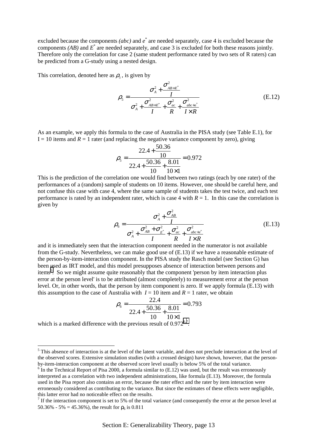excluded because the components *(abc)* and  $e^*$  are needed separately, case 4 is excluded because the components *(AB)* and *E*\* are needed separately, and case 3 is excluded for both these reasons jointly. Therefore only the correlation for case 2 (same student performance rated by two sets of R raters) can be predicted from a G-study using a nested design.

This correlation, denoted here as  $\rho_5$ , is given by

$$
\rho_{5} = \frac{\sigma_{A}^{2} + \frac{\sigma_{AB+E}^{2}}{I}}{\sigma_{A}^{2} + \frac{\sigma_{AB+E}^{2}}{I} + \frac{\sigma_{ac}^{2}}{R} + \frac{\sigma_{abc+e}^{2}}{I \times R}}
$$
(E.12)

As an example, we apply this formula to the case of Australia in the PISA study (see Table E.1), for  $I = 10$  items and  $R = 1$  rater (and replacing the negative variance component by zero), giving

$$
\rho_{5} = \frac{22.4 + \frac{50.36}{10}}{22.4 + \frac{50.36}{10} + \frac{8.01}{10 \times 1}} = 0.972
$$

This is the prediction of the correlation one would find between two ratings (each by one rater) of the performances of a (random) sample of students on 10 items. However, one should be careful here, and not confuse this case with case 4, where the same sample of students takes the test twice, and each test performance is rated by an independent rater, which is case 4 with  $R = 1$ . In this case the correlation is given by

$$
\rho_6 = \frac{\sigma_A^2 + \frac{\sigma_{AB}^2}{I}}{\sigma_A^2 + \frac{\sigma_{AB}^2 + \sigma_{E'}^2}{I} + \frac{\sigma_{ac}^2}{R} + \frac{\sigma_{abc+\dot{e}}^2}{I \times R}}
$$
(E.13)

and it is immediately seen that the interaction component needed in the numerator is not available from the G-study. Nevertheless, we can make good use of (E.13) if we have a reasonable estimate of the person-by-item-interaction component. In the PISA study the Rasch model (see Section G) has been used as IRT model, and this model presupposes absence of interaction between persons and items<sup>5</sup>. So we might assume quite reasonably that the component 'person by item interaction plus error at the person level' is to be attributed (almost completely) to measurement error at the person level. Or, in other words, that the person by item component is zero. If we apply formula (E.13) with this assumption to the case of Australia with  $I = 10$  item and  $R = 1$  rater, we obtain

$$
\rho_6 = \frac{22.4}{22.4 + \frac{50.36}{10} + \frac{8.01}{10 \times 1}} = 0.793
$$

which is a marked difference with the previous result of  $0.972^{6,7}$ .

 $\overline{a}$ 

<sup>&</sup>lt;sup>5</sup> This absence of interaction is at the level of the latent variable, and does not preclude interaction at the level of the observed scores. Extensive simulation studies (with a crossed design) have shown, however, that the personby-item-interaction component at the observed score level usually is below 5% of the total variance.

 $6$  In the Technical Report of Pisa 2000, a formula similar to  $(E.12)$  was used, but the result was erroneously interpreted as a correlation with two independent administrations, like formula (E.13). Moreover, the formula used in the Pisa report also contains an error, because the rater effect and the rater by item interaction were erroneously considered as contributing to the variance. But since the estimates of these effects were negligible, this latter error had no noticeable effect on the results.

<sup>&</sup>lt;sup>7</sup> If the interaction component is set to 5% of the total variance (and consequently the error at the person level at 50.36% - 5% = 45.36%), the result for  $\rho_6$  is 0.811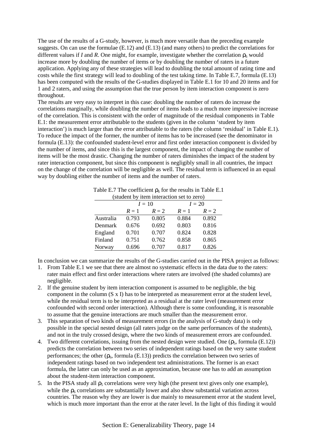The use of the results of a G-study, however, is much more versatile than the preceding example suggests. On can use the formulae (E.12) and (E.13) (and many others) to predict the correlations for different values if *I* and *R*. One might, for example, investigate whether the correlation  $\rho_6$  would increase more by doubling the number of items or by doubling the number of raters in a future application. Applying any of these strategies will lead to doubling the total amount of rating time and costs while the first strategy will lead to doubling of the test taking time. In Table E.7, formula (E.13) has been computed with the results of the G-studies displayed in Table E.1 for 10 and 20 items and for 1 and 2 raters, and using the assumption that the true person by item interaction component is zero throughout.

The results are very easy to interpret in this case: doubling the number of raters do increase the correlations marginally, while doubling the number of items leads to a much more impressive increase of the correlation. This is consistent with the order of magnitude of the residual components in Table E.1: the measurement error attributable to the students (given in the column 'student by item interaction') is much larger than the error attributable to the raters (the column 'residual' in Table E.1). To reduce the impact of the former, the number of items has to be increased (see the denominator in formula (E.13): the confounded student-level error and first order interaction component is divided by the number of items, and since this is the largest component, the impact of changing the number of items will be the most drastic. Changing the number of raters diminishes the impact of the student by rater interaction component, but since this component is negligibly small in all countries, the impact on the change of the correlation will be negligible as well. The residual term is influenced in an equal way by doubling either the number of items and the number of raters.

Table E.7 The coefficient  $\rho_6$  for the results in Table E.1

| (student by item interaction set to zero) |                         |          |          |       |  |  |
|-------------------------------------------|-------------------------|----------|----------|-------|--|--|
|                                           |                         | $I = 10$ | $I = 20$ |       |  |  |
|                                           | $R=1$<br>$R=2$<br>$R=1$ |          |          |       |  |  |
| Australia                                 | 0.793                   | 0.805    | 0.884    | 0.892 |  |  |
| Denmark                                   | 0.676                   | 0.692    | 0.803    | 0.816 |  |  |
| England                                   | 0.701                   | 0.707    | 0.824    | 0.828 |  |  |
| Finland                                   | 0.751                   | 0.762    | 0.858    | 0.865 |  |  |
| Norway                                    | 0.696                   | 0.707    | 0.817    | 0.826 |  |  |

In conclusion we can summarize the results of the G-studies carried out in the PISA project as follows:

- 1. From Table E.1 we see that there are almost no systematic effects in the data due to the raters: rater main effect and first order interactions where raters are involved (the shaded columns) are negligible.
- 2. If the genuine student by item interaction component is assumed to be negligible, the big component in the column  $(S \times I)$  has to be interpreted as measurement error at the student level, while the residual term is to be interpreted as a residual at the rater level (measurement error confounded with second order interaction). Although there is some confounding, it is reasonable to assume that the genuine interactions are much smaller than the measurement error.
- 3. This separation of two kinds of measurement errors (in the analysis of G-study data) is only possible in the special nested design (all raters judge on the same performances of the students), and not in the truly crossed design, where the two kinds of measurement errors are confounded.
- 4. Two different correlations, issuing from the nested design were studied. One  $(\rho_{5},$  formula (E.12)) predicts the correlation between two series of independent ratings based on the very same student performances; the other  $(\rho_6,$  formula (E.13)) predicts the correlation between two series of independent ratings based on two independent test administrations. The former is an exact formula, the latter can only be used as an approximation, because one has to add an assumption about the student-item interaction component.
- 5. In the PISA study all  $\rho_5$  correlations were very high (the present text gives only one example), while the  $\rho_6$  correlations are substantially lower and also show substantial variation across countries. The reason why they are lower is due mainly to measurement error at the student level, which is much more important than the error at the rater level. In the light of this finding it would